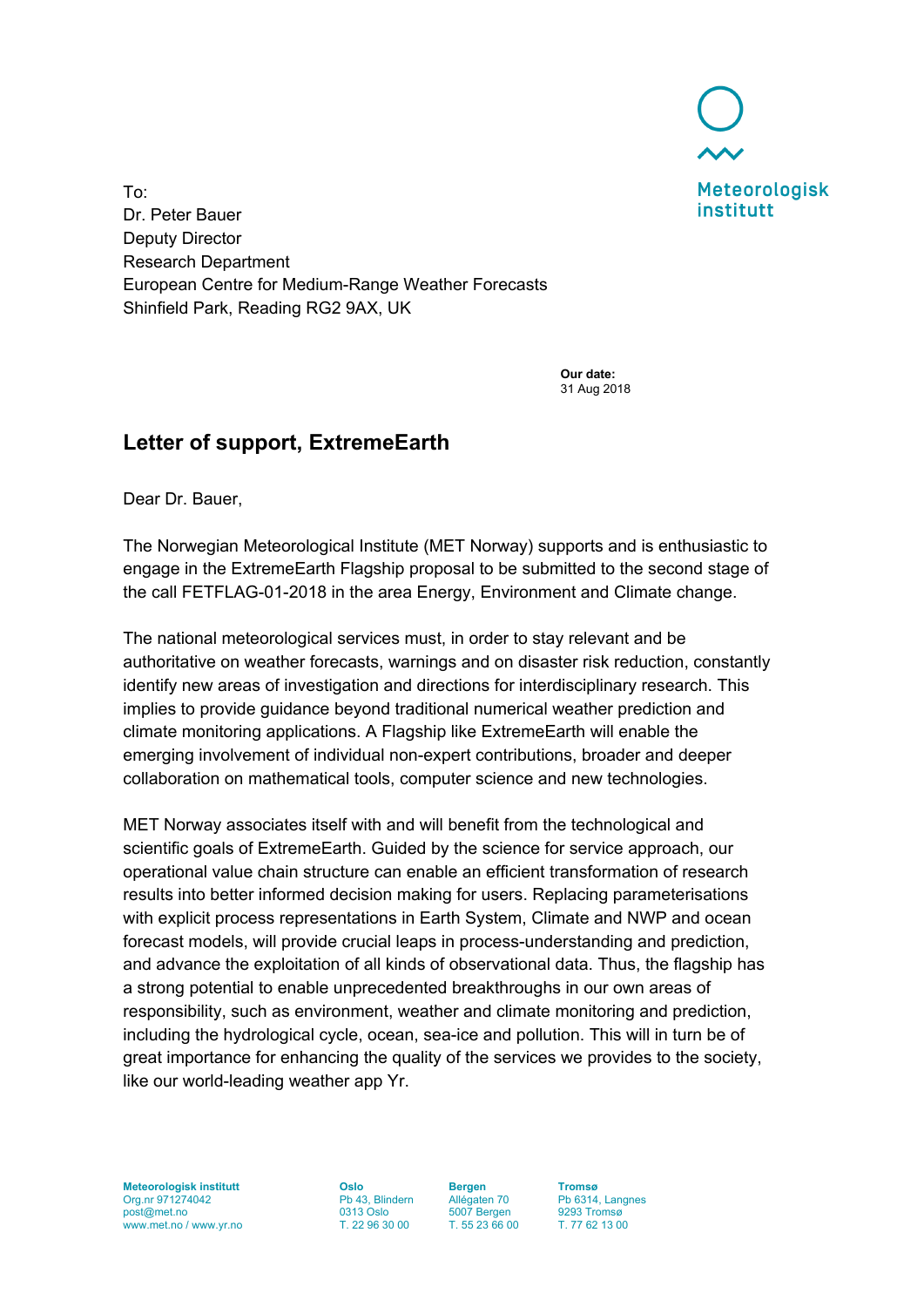

To: Dr. Peter Bauer Deputy Director Research Department European Centre for Medium-Range Weather Forecasts Shinfield Park, Reading RG2 9AX, UK

> **Our date:** 31 Aug 2018

## **Letter of support, ExtremeEarth**

Dear Dr. Bauer,

The Norwegian Meteorological Institute (MET Norway) supports and is enthusiastic to engage in the ExtremeEarth Flagship proposal to be submitted to the second stage of the call FETFLAG-01-2018 in the area Energy, Environment and Climate change.

The national meteorological services must, in order to stay relevant and be authoritative on weather forecasts, warnings and on disaster risk reduction, constantly identify new areas of investigation and directions for interdisciplinary research. This implies to provide guidance beyond traditional numerical weather prediction and climate monitoring applications. A Flagship like ExtremeEarth will enable the emerging involvement of individual non-expert contributions, broader and deeper collaboration on mathematical tools, computer science and new technologies.

MET Norway associates itself with and will benefit from the technological and scientific goals of ExtremeEarth. Guided by the science for service approach, our operational value chain structure can enable an efficient transformation of research results into better informed decision making for users. Replacing parameterisations with explicit process representations in Earth System, Climate and NWP and ocean forecast models, will provide crucial leaps in process-understanding and prediction, and advance the exploitation of all kinds of observational data. Thus, the flagship has a strong potential to enable unprecedented breakthroughs in our own areas of responsibility, such as environment, weather and climate monitoring and prediction, including the hydrological cycle, ocean, sea-ice and pollution. This will in turn be of great importance for enhancing the quality of the services we provides to the society, like our world-leading weather app Yr.

**Meteorologisk institutt** Org.nr 971274042 post@met.no www.met.no / www.yr.no

**Oslo** Pb 43, Blindern 0313 Oslo T. 22 96 30 00

**Bergen** Allégaten 70 5007 Bergen T. 55 23 66 00

**Tromsø** Pb 6314, Langnes 9293 Tromsø T. 77 62 13 00